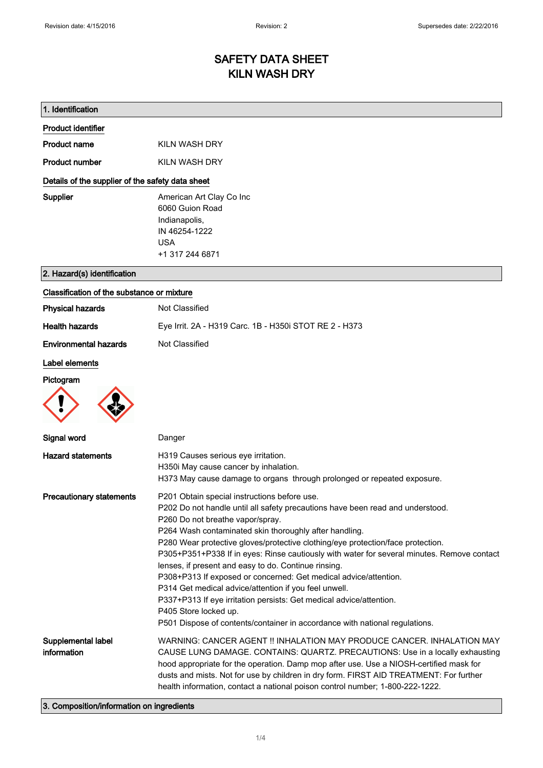# SAFETY DATA SHEET KILN WASH DRY

| 1. Identification                                |                                                                                                                                                                                                                                                                                                                                                                                                                                                                                                                                                                                                                                                                                                                                                                                   |  |
|--------------------------------------------------|-----------------------------------------------------------------------------------------------------------------------------------------------------------------------------------------------------------------------------------------------------------------------------------------------------------------------------------------------------------------------------------------------------------------------------------------------------------------------------------------------------------------------------------------------------------------------------------------------------------------------------------------------------------------------------------------------------------------------------------------------------------------------------------|--|
| <b>Product identifier</b>                        |                                                                                                                                                                                                                                                                                                                                                                                                                                                                                                                                                                                                                                                                                                                                                                                   |  |
| <b>Product name</b>                              | KILN WASH DRY                                                                                                                                                                                                                                                                                                                                                                                                                                                                                                                                                                                                                                                                                                                                                                     |  |
| <b>Product number</b>                            | KILN WASH DRY                                                                                                                                                                                                                                                                                                                                                                                                                                                                                                                                                                                                                                                                                                                                                                     |  |
| Details of the supplier of the safety data sheet |                                                                                                                                                                                                                                                                                                                                                                                                                                                                                                                                                                                                                                                                                                                                                                                   |  |
| <b>Supplier</b>                                  | American Art Clay Co Inc<br>6060 Guion Road<br>Indianapolis,<br>IN 46254-1222<br><b>USA</b><br>+1 317 244 6871                                                                                                                                                                                                                                                                                                                                                                                                                                                                                                                                                                                                                                                                    |  |
| 2. Hazard(s) identification                      |                                                                                                                                                                                                                                                                                                                                                                                                                                                                                                                                                                                                                                                                                                                                                                                   |  |
| Classification of the substance or mixture       |                                                                                                                                                                                                                                                                                                                                                                                                                                                                                                                                                                                                                                                                                                                                                                                   |  |
| <b>Physical hazards</b>                          | Not Classified                                                                                                                                                                                                                                                                                                                                                                                                                                                                                                                                                                                                                                                                                                                                                                    |  |
| <b>Health hazards</b>                            | Eye Irrit. 2A - H319 Carc. 1B - H350i STOT RE 2 - H373                                                                                                                                                                                                                                                                                                                                                                                                                                                                                                                                                                                                                                                                                                                            |  |
| <b>Environmental hazards</b>                     | Not Classified                                                                                                                                                                                                                                                                                                                                                                                                                                                                                                                                                                                                                                                                                                                                                                    |  |
| Label elements<br>Pictogram                      |                                                                                                                                                                                                                                                                                                                                                                                                                                                                                                                                                                                                                                                                                                                                                                                   |  |
| Signal word                                      | Danger                                                                                                                                                                                                                                                                                                                                                                                                                                                                                                                                                                                                                                                                                                                                                                            |  |
| <b>Hazard statements</b>                         | H319 Causes serious eye irritation.<br>H350i May cause cancer by inhalation.<br>H373 May cause damage to organs through prolonged or repeated exposure.                                                                                                                                                                                                                                                                                                                                                                                                                                                                                                                                                                                                                           |  |
| <b>Precautionary statements</b>                  | P201 Obtain special instructions before use.<br>P202 Do not handle until all safety precautions have been read and understood.<br>P260 Do not breathe vapor/spray.<br>P264 Wash contaminated skin thoroughly after handling.<br>P280 Wear protective gloves/protective clothing/eye protection/face protection.<br>P305+P351+P338 If in eyes: Rinse cautiously with water for several minutes. Remove contact<br>lenses, if present and easy to do. Continue rinsing.<br>P308+P313 If exposed or concerned: Get medical advice/attention.<br>P314 Get medical advice/attention if you feel unwell.<br>P337+P313 If eye irritation persists: Get medical advice/attention.<br>P405 Store locked up.<br>P501 Dispose of contents/container in accordance with national regulations. |  |
| Supplemental label<br>information                | WARNING: CANCER AGENT !! INHALATION MAY PRODUCE CANCER. INHALATION MAY<br>CAUSE LUNG DAMAGE. CONTAINS: QUARTZ. PRECAUTIONS: Use in a locally exhausting<br>hood appropriate for the operation. Damp mop after use. Use a NIOSH-certified mask for<br>dusts and mists. Not for use by children in dry form. FIRST AID TREATMENT: For further<br>health information, contact a national poison control number; 1-800-222-1222.                                                                                                                                                                                                                                                                                                                                                      |  |
| 3. Composition/information on ingredients        |                                                                                                                                                                                                                                                                                                                                                                                                                                                                                                                                                                                                                                                                                                                                                                                   |  |

## 3. Composition/information on ingredients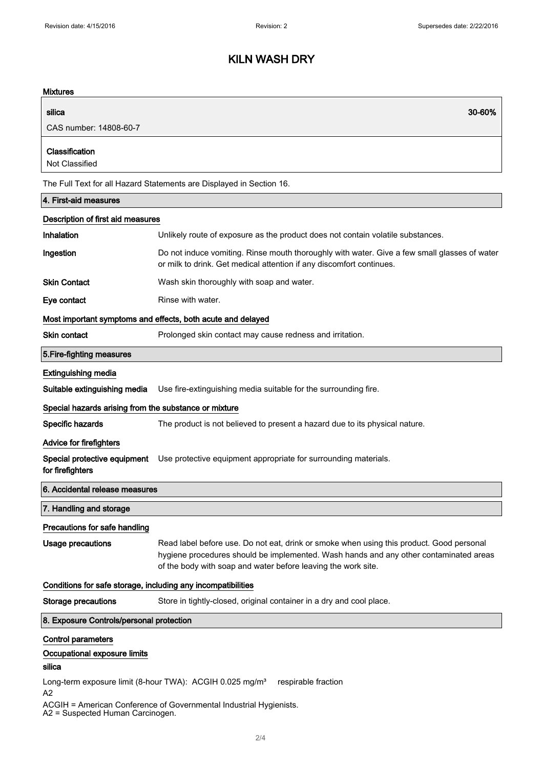# KILN WASH DRY

## **Mixtures**

| IVIIALUI <del>0</del> 3                                                                           |                                                                                                                                                                                                                                                    |  |
|---------------------------------------------------------------------------------------------------|----------------------------------------------------------------------------------------------------------------------------------------------------------------------------------------------------------------------------------------------------|--|
| silica                                                                                            | 30-60%                                                                                                                                                                                                                                             |  |
| CAS number: 14808-60-7                                                                            |                                                                                                                                                                                                                                                    |  |
| Classification<br>Not Classified                                                                  |                                                                                                                                                                                                                                                    |  |
|                                                                                                   | The Full Text for all Hazard Statements are Displayed in Section 16.                                                                                                                                                                               |  |
| 4. First-aid measures                                                                             |                                                                                                                                                                                                                                                    |  |
| Description of first aid measures                                                                 |                                                                                                                                                                                                                                                    |  |
| Inhalation                                                                                        | Unlikely route of exposure as the product does not contain volatile substances.                                                                                                                                                                    |  |
| Ingestion                                                                                         | Do not induce vomiting. Rinse mouth thoroughly with water. Give a few small glasses of water<br>or milk to drink. Get medical attention if any discomfort continues.                                                                               |  |
| <b>Skin Contact</b>                                                                               | Wash skin thoroughly with soap and water.                                                                                                                                                                                                          |  |
| Eye contact                                                                                       | Rinse with water.                                                                                                                                                                                                                                  |  |
| Most important symptoms and effects, both acute and delayed                                       |                                                                                                                                                                                                                                                    |  |
| <b>Skin contact</b>                                                                               | Prolonged skin contact may cause redness and irritation.                                                                                                                                                                                           |  |
| 5. Fire-fighting measures                                                                         |                                                                                                                                                                                                                                                    |  |
| <b>Extinguishing media</b>                                                                        |                                                                                                                                                                                                                                                    |  |
| Suitable extinguishing media                                                                      | Use fire-extinguishing media suitable for the surrounding fire.                                                                                                                                                                                    |  |
| Special hazards arising from the substance or mixture                                             |                                                                                                                                                                                                                                                    |  |
| Specific hazards                                                                                  | The product is not believed to present a hazard due to its physical nature.                                                                                                                                                                        |  |
| <b>Advice for firefighters</b>                                                                    |                                                                                                                                                                                                                                                    |  |
| Special protective equipment<br>for firefighters                                                  | Use protective equipment appropriate for surrounding materials.                                                                                                                                                                                    |  |
| 6. Accidental release measures                                                                    |                                                                                                                                                                                                                                                    |  |
| 7. Handling and storage                                                                           |                                                                                                                                                                                                                                                    |  |
| Precautions for safe handling                                                                     |                                                                                                                                                                                                                                                    |  |
| <b>Usage precautions</b>                                                                          | Read label before use. Do not eat, drink or smoke when using this product. Good personal<br>hygiene procedures should be implemented. Wash hands and any other contaminated areas<br>of the body with soap and water before leaving the work site. |  |
| Conditions for safe storage, including any incompatibilities                                      |                                                                                                                                                                                                                                                    |  |
| <b>Storage precautions</b>                                                                        | Store in tightly-closed, original container in a dry and cool place.                                                                                                                                                                               |  |
| 8. Exposure Controls/personal protection                                                          |                                                                                                                                                                                                                                                    |  |
| <b>Control parameters</b>                                                                         |                                                                                                                                                                                                                                                    |  |
| Occupational exposure limits                                                                      |                                                                                                                                                                                                                                                    |  |
| silica                                                                                            |                                                                                                                                                                                                                                                    |  |
| Long-term exposure limit (8-hour TWA): ACGIH 0.025 mg/m <sup>3</sup><br>respirable fraction<br>A2 |                                                                                                                                                                                                                                                    |  |

ACGIH = American Conference of Governmental Industrial Hygienists.

A2 = Suspected Human Carcinogen.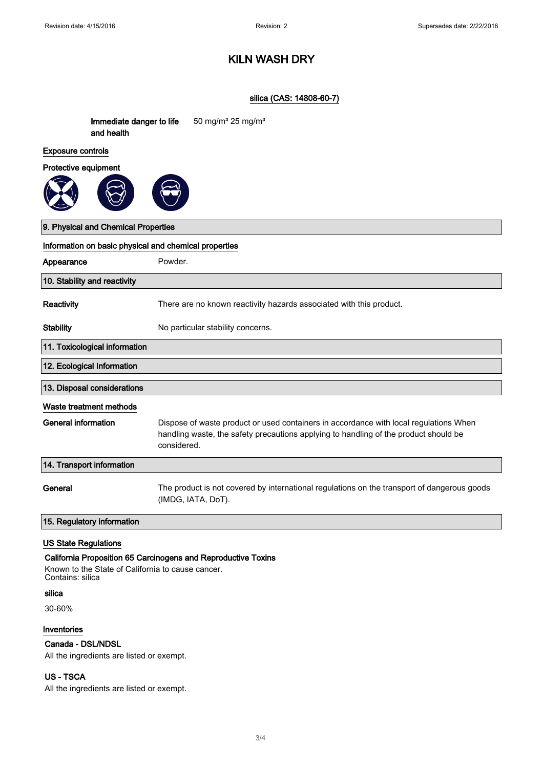## KILN WASH DRY

### silica (CAS: 14808-60-7)

| Immediate danger to life<br>and health                | 50 mg/m <sup>3</sup> 25 mg/m <sup>3</sup>                                                                                                                                                    |  |
|-------------------------------------------------------|----------------------------------------------------------------------------------------------------------------------------------------------------------------------------------------------|--|
| <b>Exposure controls</b>                              |                                                                                                                                                                                              |  |
| Protective equipment                                  |                                                                                                                                                                                              |  |
|                                                       |                                                                                                                                                                                              |  |
| 9. Physical and Chemical Properties                   |                                                                                                                                                                                              |  |
| Information on basic physical and chemical properties |                                                                                                                                                                                              |  |
| Appearance                                            | Powder.                                                                                                                                                                                      |  |
| 10. Stability and reactivity                          |                                                                                                                                                                                              |  |
| Reactivity                                            | There are no known reactivity hazards associated with this product.                                                                                                                          |  |
| <b>Stability</b>                                      | No particular stability concerns.                                                                                                                                                            |  |
| 11. Toxicological information                         |                                                                                                                                                                                              |  |
| 12. Ecological Information                            |                                                                                                                                                                                              |  |
| 13. Disposal considerations                           |                                                                                                                                                                                              |  |
| Waste treatment methods                               |                                                                                                                                                                                              |  |
| <b>General information</b>                            | Dispose of waste product or used containers in accordance with local regulations When<br>handling waste, the safety precautions applying to handling of the product should be<br>considered. |  |
| 14. Transport information                             |                                                                                                                                                                                              |  |
| General                                               | The product is not covered by international regulations on the transport of dangerous goods<br>(IMDG, IATA, DoT).                                                                            |  |
| 15. Regulatory information                            |                                                                                                                                                                                              |  |

## US State Regulations

#### California Proposition 65 Carcinogens and Reproductive Toxins

Known to the State of California to cause cancer. Contains: silica

## silica

30-60%

#### Inventories

## Canada - DSL/NDSL

All the ingredients are listed or exempt.

## US - TSCA

All the ingredients are listed or exempt.